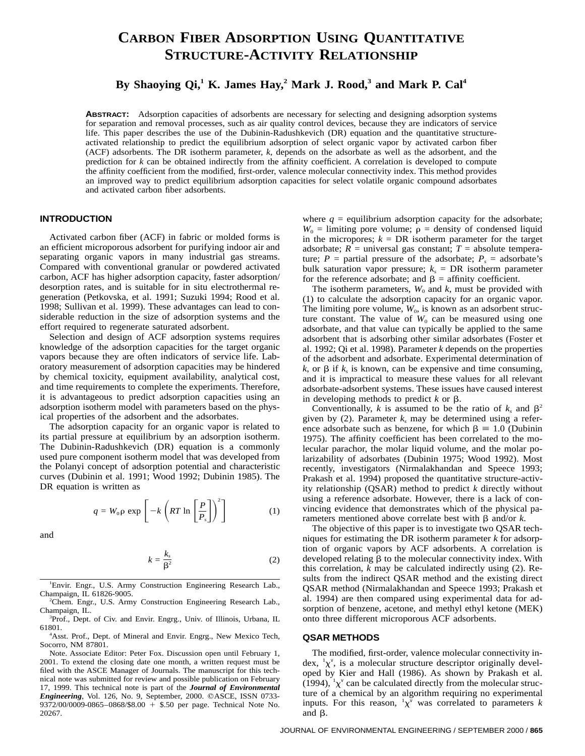# **CARBON FIBER ADSORPTION USING QUANTITATIVE STRUCTURE-ACTIVITY RELATIONSHIP**

**By Shaoying Qi,1 K. James Hay,<sup>2</sup> Mark J. Rood,3 and Mark P. Cal<sup>4</sup>**

**ABSTRACT:** Adsorption capacities of adsorbents are necessary for selecting and designing adsorption systems for separation and removal processes, such as air quality control devices, because they are indicators of service life. This paper describes the use of the Dubinin-Radushkevich (DR) equation and the quantitative structureactivated relationship to predict the equilibrium adsorption of select organic vapor by activated carbon fiber (ACF) adsorbents. The DR isotherm parameter, *k*, depends on the adsorbate as well as the adsorbent, and the prediction for *k* can be obtained indirectly from the affinity coefficient. A correlation is developed to compute the affinity coefficient from the modified, first-order, valence molecular connectivity index. This method provides an improved way to predict equilibrium adsorption capacities for select volatile organic compound adsorbates and activated carbon fiber adsorbents.

## **INTRODUCTION**

Activated carbon fiber (ACF) in fabric or molded forms is an efficient microporous adsorbent for purifying indoor air and separating organic vapors in many industrial gas streams. Compared with conventional granular or powdered activated carbon, ACF has higher adsorption capacity, faster adsorption/ desorption rates, and is suitable for in situ electrothermal regeneration (Petkovska, et al. 1991; Suzuki 1994; Rood et al. 1998; Sullivan et al. 1999). These advantages can lead to considerable reduction in the size of adsorption systems and the effort required to regenerate saturated adsorbent.

Selection and design of ACF adsorption systems requires knowledge of the adsorption capacities for the target organic vapors because they are often indicators of service life. Laboratory measurement of adsorption capacities may be hindered by chemical toxicity, equipment availability, analytical cost, and time requirements to complete the experiments. Therefore, it is advantageous to predict adsorption capacities using an adsorption isotherm model with parameters based on the physical properties of the adsorbent and the adsorbates.

The adsorption capacity for an organic vapor is related to its partial pressure at equilibrium by an adsorption isotherm. The Dubinin-Radushkevich (DR) equation is a commonly used pure component isotherm model that was developed from the Polanyi concept of adsorption potential and characteristic curves (Dubinin et al. 1991; Wood 1992; Dubinin 1985). The DR equation is written as

$$
q = W_0 \rho \exp\left[-k \left(RT \ln \left[\frac{P}{P_s}\right]\right)^2\right]
$$
 (1)

and

$$
k = \frac{k_s}{\beta^2} \tag{2}
$$

1 Envir. Engr., U.S. Army Construction Engineering Research Lab., Champaign, IL 61826-9005. <sup>2</sup>

<sup>2</sup>Chem. Engr., U.S. Army Construction Engineering Research Lab., Champaign, IL. <sup>3</sup>

Prof., Dept. of Civ. and Envir. Engrg., Univ. of Illinois, Urbana, IL 61801. <sup>4</sup>

Asst. Prof., Dept. of Mineral and Envir. Engrg., New Mexico Tech, Socorro, NM 87801.

Note. Associate Editor: Peter Fox. Discussion open until February 1, 2001. To extend the closing date one month, a written request must be filed with the ASCE Manager of Journals. The manuscript for this technical note was submitted for review and possible publication on February 17, 1999. This technical note is part of the *Journal of Environmental Engineering*, Vol. 126, No. 9, September, 2000. qASCE, ISSN 0733-  $9372/00/0009-0865-0868/$ \$8.00 + \$.50 per page. Technical Note No. 20267.

where  $q =$  equilibrium adsorption capacity for the adsorbate;  $W_0$  = limiting pore volume;  $\rho$  = density of condensed liquid in the micropores;  $k = DR$  isotherm parameter for the target adsorbate;  $R =$  universal gas constant;  $T =$  absolute temperature;  $P =$  partial pressure of the adsorbate;  $P_s =$  adsorbate's bulk saturation vapor pressure;  $k_s$  = DR isotherm parameter for the reference adsorbate; and  $\beta$  = affinity coefficient.

The isotherm parameters,  $W_0$  and  $k$ , must be provided with (1) to calculate the adsorption capacity for an organic vapor. The limiting pore volume,  $W_0$ , is known as an adsorbent structure constant. The value of  $W_0$  can be measured using one adsorbate, and that value can typically be applied to the same adsorbent that is adsorbing other similar adsorbates (Foster et al. 1992; Qi et al. 1998). Parameter *k* depends on the properties of the adsorbent and adsorbate. Experimental determination of  $k$ , or  $\beta$  if  $k_s$  is known, can be expensive and time consuming, and it is impractical to measure these values for all relevant adsorbate-adsorbent systems. These issues have caused interest in developing methods to predict  $k$  or  $\beta$ .

Conventionally, *k* is assumed to be the ratio of  $k_s$  and  $\beta^2$ given by  $(2)$ . Parameter  $k<sub>s</sub>$  may be determined using a reference adsorbate such as benzene, for which  $\beta = 1.0$  (Dubinin 1975). The affinity coefficient has been correlated to the molecular parachor, the molar liquid volume, and the molar polarizability of adsorbates (Dubinin 1975; Wood 1992). Most recently, investigators (Nirmalakhandan and Speece 1993; Prakash et al. 1994) proposed the quantitative structure-activity relationship (QSAR) method to predict *k* directly without using a reference adsorbate. However, there is a lack of convincing evidence that demonstrates which of the physical parameters mentioned above correlate best with  $\beta$  and/or  $k$ .

The objective of this paper is to investigate two QSAR techniques for estimating the DR isotherm parameter *k* for adsorption of organic vapors by ACF adsorbents. A correlation is developed relating  $\beta$  to the molecular connectivity index. With this correlation, *k* may be calculated indirectly using (2). Results from the indirect QSAR method and the existing direct QSAR method (Nirmalakhandan and Speece 1993; Prakash et al. 1994) are then compared using experimental data for adsorption of benzene, acetone, and methyl ethyl ketone (MEK) onto three different microporous ACF adsorbents.

#### **QSAR METHODS**

The modified, first-order, valence molecular connectivity index,  $\chi^v$ , is a molecular structure descriptor originally developed by Kier and Hall (1986). As shown by Prakash et al.  $(1994)$ ,  $\chi^{\nu}$  can be calculated directly from the molecular structure of a chemical by an algorithm requiring no experimental inputs. For this reason,  $\chi^{\nu}$  was correlated to parameters *k* and  $\beta$ .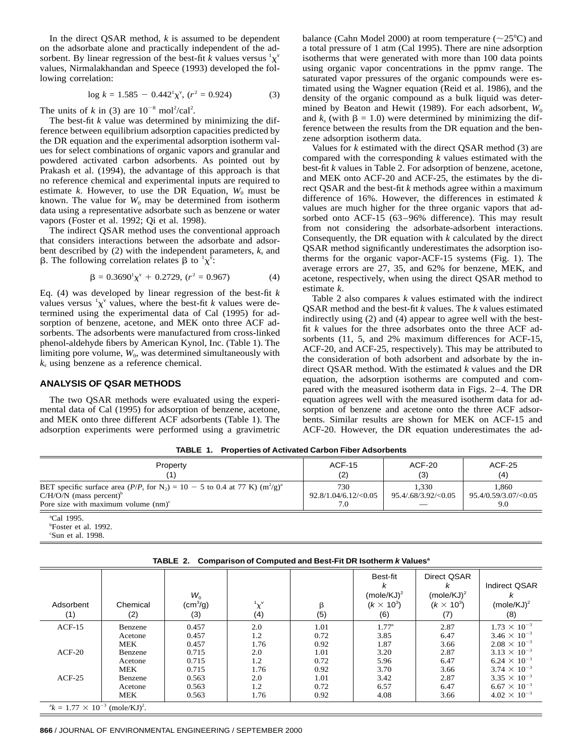In the direct QSAR method, *k* is assumed to be dependent on the adsorbate alone and practically independent of the adsorbent. By linear regression of the best-fit  $\hat{k}$  values versus  ${}^{1}\chi^{\nu}$ values, Nirmalakhandan and Speece (1993) developed the following correlation:

$$
\log k = 1.585 - 0.442^{1} \chi^{v}, (r^{2} = 0.924)
$$
 (3)

The units of  $k$  in (3) are  $10^{-8}$  mol<sup>2</sup>/cal<sup>2</sup>.

The best-fit *k* value was determined by minimizing the difference between equilibrium adsorption capacities predicted by the DR equation and the experimental adsorption isotherm values for select combinations of organic vapors and granular and powdered activated carbon adsorbents. As pointed out by Prakash et al. (1994), the advantage of this approach is that no reference chemical and experimental inputs are required to estimate *k*. However, to use the DR Equation,  $W_0$  must be known. The value for  $W_0$  may be determined from isotherm data using a representative adsorbate such as benzene or water vapors (Foster et al. 1992; Qi et al. 1998).

The indirect QSAR method uses the conventional approach that considers interactions between the adsorbate and adsorbent described by  $(2)$  with the independent parameters,  $k_s$  and  $\beta$ . The following correlation relates  $\beta$  to  $\chi^{\tilde{\nu}}$ .

$$
\beta = 0.3690^{1} \chi^{\nu} + 0.2729, (r^{2} = 0.967)
$$
 (4)

Eq. (4) was developed by linear regression of the best-fit *k* values versus  $\chi^v$  values, where the best-fit *k* values were determined using the experimental data of Cal (1995) for adsorption of benzene, acetone, and MEK onto three ACF adsorbents. The adsorbents were manufactured from cross-linked phenol-aldehyde fibers by American Kynol, Inc. (Table 1). The limiting pore volume,  $W_0$ , was determined simultaneously with *ks* using benzene as a reference chemical.

## **ANALYSIS OF QSAR METHODS**

The two QSAR methods were evaluated using the experimental data of Cal (1995) for adsorption of benzene, acetone, and MEK onto three different ACF adsorbents (Table 1). The adsorption experiments were performed using a gravimetric balance (Cahn Model 2000) at room temperature ( $\sim$ 25°C) and a total pressure of 1 atm (Cal 1995). There are nine adsorption isotherms that were generated with more than 100 data points using organic vapor concentrations in the ppmv range. The saturated vapor pressures of the organic compounds were estimated using the Wagner equation (Reid et al. 1986), and the density of the organic compound as a bulk liquid was determined by Beaton and Hewit (1989). For each adsorbent,  $W_0$ and  $k<sub>s</sub>$  (with  $\beta = 1.0$ ) were determined by minimizing the difference between the results from the DR equation and the benzene adsorption isotherm data.

Values for *k* estimated with the direct QSAR method (3) are compared with the corresponding *k* values estimated with the best-fit *k* values in Table 2. For adsorption of benzene, acetone, and MEK onto ACF-20 and ACF-25, the estimates by the direct QSAR and the best-fit *k* methods agree within a maximum difference of 16%. However, the differences in estimated *k* values are much higher for the three organic vapors that adsorbed onto ACF-15 (63–96% difference). This may result from not considering the adsorbate-adsorbent interactions. Consequently, the DR equation with *k* calculated by the direct QSAR method significantly underestimates the adsorption isotherms for the organic vapor-ACF-15 systems (Fig. 1). The average errors are 27, 35, and 62% for benzene, MEK, and acetone, respectively, when using the direct QSAR method to estimate *k*.

Table 2 also compares *k* values estimated with the indirect QSAR method and the best-fit *k* values. The *k* values estimated indirectly using (2) and (4) appear to agree well with the bestfit *k* values for the three adsorbates onto the three ACF adsorbents (11, 5, and 2% maximum differences for ACF-15, ACF-20, and ACF-25, respectively). This may be attributed to the consideration of both adsorbent and adsorbate by the indirect QSAR method. With the estimated *k* values and the DR equation, the adsorption isotherms are computed and compared with the measured isotherm data in Figs. 2–4. The DR equation agrees well with the measured isotherm data for adsorption of benzene and acetone onto the three ACF adsorbents. Similar results are shown for MEK on ACF-15 and ACF-20. However, the DR equation underestimates the ad-

**TABLE 1. Properties of Activated Carbon Fiber Adsorbents**

| Property                                                                                                                                                                          | <b>ACF-15</b><br>(2)                     | $ACF-20$<br>(3)              | <b>ACF-25</b><br>(4)                 |  |  |  |
|-----------------------------------------------------------------------------------------------------------------------------------------------------------------------------------|------------------------------------------|------------------------------|--------------------------------------|--|--|--|
| BET specific surface area $(P/P_s$ for N <sub>2</sub> $) = 10 - 5$ to 0.4 at 77 K) $(m^2/g)^a$<br>$C/H/O/N$ (mass percent) <sup>b</sup><br>Pore size with maximum volume $(nm)^c$ | 730<br>$92.8/1.04/6.12/\leq 0.05$<br>7.0 | 1.330<br>95.4/.68/3.92/<0.05 | 1.860<br>95.4/0.59/3.07/<0.05<br>9.0 |  |  |  |
| $\mathrm{a}$ Cal 1995                                                                                                                                                             |                                          |                              |                                      |  |  |  |

Cal 1995. b Foster et al. 1992.  $\mathrm{c}^{\mathrm{c}}$ Sun et al. 1998.

|  | TABLE 2. Comparison of Computed and Best-Fit DR Isotherm k Values <sup>a</sup> |
|--|--------------------------------------------------------------------------------|
|--|--------------------------------------------------------------------------------|

| Adsorbent<br>(1)                    | Chemical<br>(2)    | $W_{0}$<br>(cm <sup>3</sup> /g)<br>(3) | $\chi^{\nu}$<br>(4) | β<br>(5)     | Best-fit<br>k<br>(mole/KJ) $^2$<br>$(k \times 10^3)$<br>(6) | Direct QSAR<br>(mole/KJ) $^2$<br>$(k \times 10^3)$<br>(7) | Indirect QSAR<br>ĸ<br>(mole/KJ) $^2$<br>(8)    |
|-------------------------------------|--------------------|----------------------------------------|---------------------|--------------|-------------------------------------------------------------|-----------------------------------------------------------|------------------------------------------------|
| $ACF-15$                            | Benzene<br>Acetone | 0.457<br>0.457                         | 2.0<br>1.2          | 1.01<br>0.72 | $1.77^{\circ}$<br>3.85                                      | 2.87<br>6.47                                              | $1.73 \times 10^{-3}$<br>$3.46 \times 10^{-3}$ |
|                                     | MEK                | 0.457                                  | 1.76                | 0.92         | 1.87                                                        | 3.66                                                      | $2.08 \times 10^{-3}$                          |
| $ACF-20$                            | Benzene            | 0.715                                  | 2.0                 | 1.01         | 3.20                                                        | 2.87                                                      | $3.13 \times 10^{-3}$                          |
|                                     | Acetone            | 0.715                                  | 1.2                 | 0.72         | 5.96                                                        | 6.47                                                      | $6.24 \times 10^{-3}$                          |
|                                     | MEK                | 0.715                                  | 1.76                | 0.92         | 3.70                                                        | 3.66                                                      | $3.74 \times 10^{-3}$                          |
| $ACF-25$                            | Benzene            | 0.563                                  | 2.0                 | 1.01         | 3.42                                                        | 2.87                                                      | $3.35 \times 10^{-3}$                          |
|                                     | Acetone            | 0.563                                  | 1.2                 | 0.72         | 6.57                                                        | 6.47                                                      | $6.67 \times 10^{-3}$                          |
| الاستعمار والمتحدث المسمور المداورة | MEK                | 0.563                                  | 1.76                | 0.92         | 4.08                                                        | 3.66                                                      | $4.02 \times 10^{-3}$                          |

 $a^2k = 1.77 \times 10^{-3}$  (mole/KJ)<sup>2</sup>.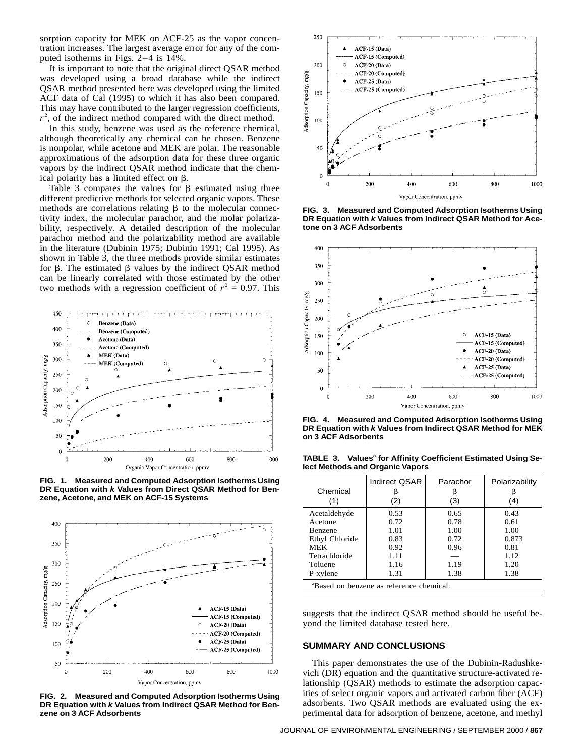sorption capacity for MEK on ACF-25 as the vapor concentration increases. The largest average error for any of the computed isotherms in Figs. 2–4 is 14%.

It is important to note that the original direct QSAR method was developed using a broad database while the indirect QSAR method presented here was developed using the limited ACF data of Cal (1995) to which it has also been compared. This may have contributed to the larger regression coefficients,  $r<sup>2</sup>$ , of the indirect method compared with the direct method.

In this study, benzene was used as the reference chemical, although theoretically any chemical can be chosen. Benzene is nonpolar, while acetone and MEK are polar. The reasonable approximations of the adsorption data for these three organic vapors by the indirect QSAR method indicate that the chemical polarity has a limited effect on  $\beta$ .

Table 3 compares the values for  $\beta$  estimated using three different predictive methods for selected organic vapors. These methods are correlations relating  $\beta$  to the molecular connectivity index, the molecular parachor, and the molar polarizability, respectively. A detailed description of the molecular parachor method and the polarizability method are available in the literature (Dubinin 1975; Dubinin 1991; Cal 1995). As shown in Table 3, the three methods provide similar estimates for  $\beta$ . The estimated  $\beta$  values by the indirect QSAR method can be linearly correlated with those estimated by the other two methods with a regression coefficient of  $r^2 = 0.97$ . This



**FIG. 1. Measured and Computed Adsorption Isotherms Using DR Equation with k Values from Direct QSAR Method for Benzene, Acetone, and MEK on ACF-15 Systems**



**FIG. 2. Measured and Computed Adsorption Isotherms Using DR Equation with k Values from Indirect QSAR Method for Benzene on 3 ACF Adsorbents**



**FIG. 3. Measured and Computed Adsorption Isotherms Using DR Equation with k Values from Indirect QSAR Method for Acetone on 3 ACF Adsorbents**



**FIG. 4. Measured and Computed Adsorption Isotherms Using DR Equation with k Values from Indirect QSAR Method for MEK on 3 ACF Adsorbents**

TABLE 3. Values<sup>a</sup> for Affinity Coefficient Estimated Using Se**lect Methods and Organic Vapors**

| Chemical<br>(1)                                      | <b>Indirect QSAR</b><br>(2) | Parachor<br>(3) | Polarizability<br>(4) |  |  |
|------------------------------------------------------|-----------------------------|-----------------|-----------------------|--|--|
| Acetaldehyde                                         | 0.53                        | 0.65            | 0.43                  |  |  |
| Acetone                                              | 0.72                        | 0.78            | 0.61                  |  |  |
| <b>Benzene</b>                                       | 1.01                        | 1.00            | 1.00                  |  |  |
| Ethyl Chloride                                       | 0.83                        | 0.72            | 0.873                 |  |  |
| <b>MEK</b>                                           | 0.92                        | 0.96            | 0.81                  |  |  |
| Tetrachloride                                        | 1.11                        |                 | 1.12                  |  |  |
| Toluene                                              | 1.16                        | 1.19            | 1.20                  |  |  |
| P-xylene                                             | 1.31                        | 1.38            | 1.38                  |  |  |
| <sup>a</sup> Based on benzene as reference chemical. |                             |                 |                       |  |  |

suggests that the indirect QSAR method should be useful beyond the limited database tested here.

### **SUMMARY AND CONCLUSIONS**

This paper demonstrates the use of the Dubinin-Radushkevich (DR) equation and the quantitative structure-activated relationship (QSAR) methods to estimate the adsorption capacities of select organic vapors and activated carbon fiber (ACF) adsorbents. Two QSAR methods are evaluated using the experimental data for adsorption of benzene, acetone, and methyl